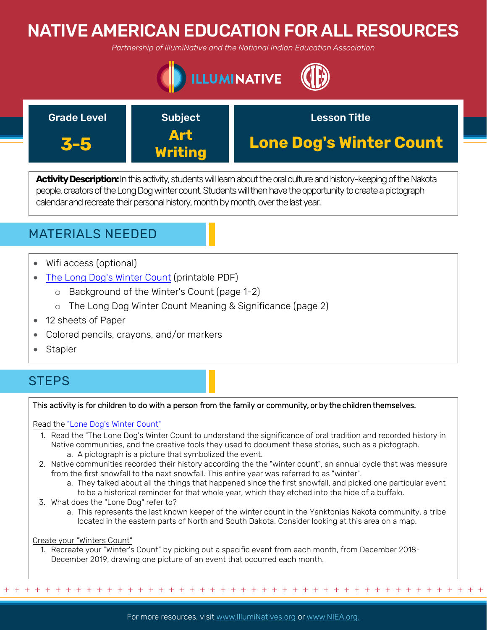# NATIVE AMERICAN EDUCATION FOR ALL RESOURCES

*Partnership of IllumiNative and the National Indian Education Association*





**Activity Description:**In this activity, students will learn about the oral culture and history-keeping of the Nakota people, creators of the Long Dog winter count. Students will then have the opportunity to create a pictograph calendar and recreate their personal history, month by month, over the last year.

## MATERIALS NEEDED

- Wifi access (optional)
- [The Long Dog](https://americanindian.si.edu/sites/1/files/pdf/education/poster_lone_dog_final.pdf)'s Winter Count (printable PDF)
	- o Background of the Winter's Count (page 1-2)
	- o The Long Dog Winter Count Meaning & Significance (page 2)
- 12 sheets of Paper
- Colored pencils, crayons, and/or markers
- Stapler

## **STEPS**

## This activity is for children to do with a person from the family or community, or by the children themselves.

## Read the "Lone Dog's [Winter Count"](https://americanindian.si.edu/sites/1/files/pdf/education/poster_lone_dog_final.pdf)

- 1. Read the "The Lone Dog's Winter Count to understand the significance of oral tradition and recorded history in Native communities, and the creative tools they used to document these stories, such as a pictograph.
	- a. A pictograph is a picture that symbolized the event.
- 2. Native communities recorded their history according the the "winter count", an annual cycle that was measure from the first snowfall to the next snowfall. This entire year was referred to as "winter".
	- a. They talked about all the things that happened since the first snowfall, and picked one particular event
	- to be a historical reminder for that whole year, which they etched into the hide of a buffalo.
- 3. What does the "Lone Dog" refer to?
	- a. This represents the last known keeper of the winter count in the Yanktonias Nakota community, a tribe located in the eastern parts of North and South Dakota. Consider looking at this area on a map.

#### Create your "Winters Count"

1. Recreate your "Winter's Count" by picking out a specific event from each month, from December 2018- December 2019, drawing one picture of an event that occurred each month.

+ + + + + + + + + + + + + + + + + + + + + + + + + + + + + + + + + + + + + + + + + + + + + + + +